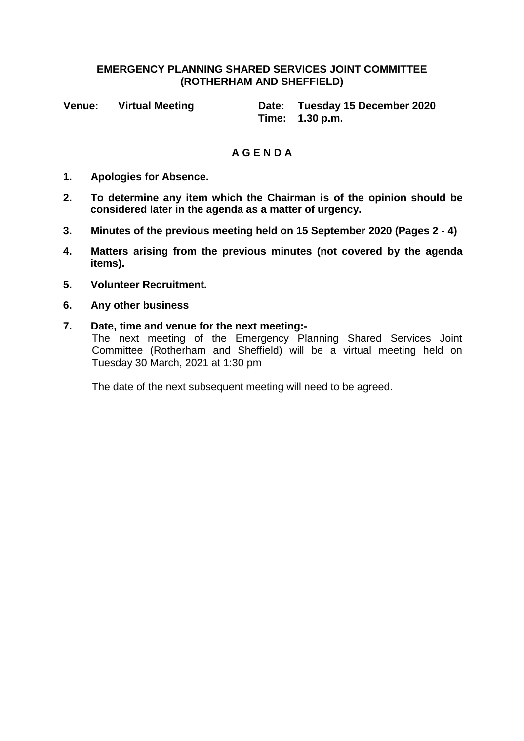### **EMERGENCY PLANNING SHARED SERVICES JOINT COMMITTEE (ROTHERHAM AND SHEFFIELD)**

**Venue: Virtual Meeting Date: Tuesday 15 December 2020 Time: 1.30 p.m.**

# **A G E N D A**

- **1. Apologies for Absence.**
- **2. To determine any item which the Chairman is of the opinion should be considered later in the agenda as a matter of urgency.**
- **3. Minutes of the previous meeting held on 15 September 2020 (Pages 2 - 4)**
- **4. Matters arising from the previous minutes (not covered by the agenda items).**
- **5. Volunteer Recruitment.**
- **6. Any other business**
- **7. Date, time and venue for the next meeting:-**

The next meeting of the Emergency Planning Shared Services Joint Committee (Rotherham and Sheffield) will be a virtual meeting held on Tuesday 30 March, 2021 at 1:30 pm

The date of the next subsequent meeting will need to be agreed.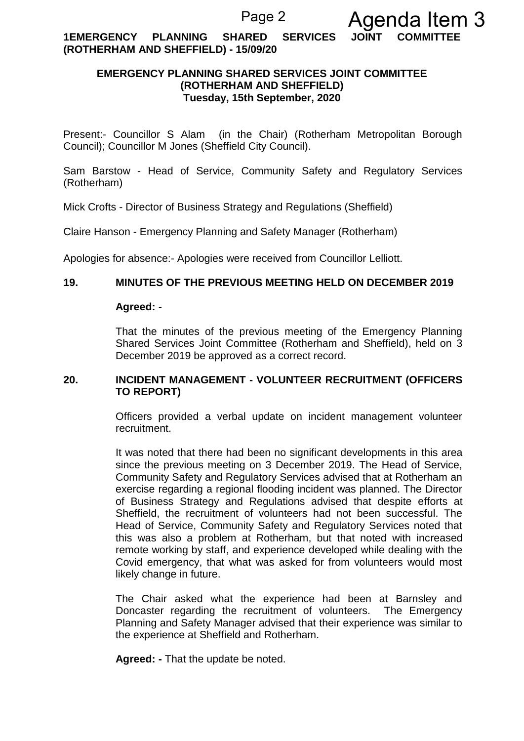**1EMERGENCY PLANNING SHARED SERVICES JOINT COMMITTEE (ROTHERHAM AND SHEFFIELD) - 15/09/20**

# **EMERGENCY PLANNING SHARED SERVICES JOINT COMMITTEE (ROTHERHAM AND SHEFFIELD) Tuesday, 15th September, 2020**

Present:- Councillor S Alam (in the Chair) (Rotherham Metropolitan Borough Council); Councillor M Jones (Sheffield City Council).

Sam Barstow - Head of Service, Community Safety and Regulatory Services (Rotherham)

Mick Crofts - Director of Business Strategy and Regulations (Sheffield)

Claire Hanson - Emergency Planning and Safety Manager (Rotherham)

Apologies for absence:- Apologies were received from Councillor Lelliott.

### **19. MINUTES OF THE PREVIOUS MEETING HELD ON DECEMBER 2019**

#### **Agreed: -**

That the minutes of the previous meeting of the Emergency Planning Shared Services Joint Committee (Rotherham and Sheffield), held on 3 December 2019 be approved as a correct record.

# **20. INCIDENT MANAGEMENT - VOLUNTEER RECRUITMENT (OFFICERS TO REPORT)**

Officers provided a verbal update on incident management volunteer recruitment.

It was noted that there had been no significant developments in this area since the previous meeting on 3 December 2019. The Head of Service, Community Safety and Regulatory Services advised that at Rotherham an exercise regarding a regional flooding incident was planned. The Director of Business Strategy and Regulations advised that despite efforts at Sheffield, the recruitment of volunteers had not been successful. The Head of Service, Community Safety and Regulatory Services noted that this was also a problem at Rotherham, but that noted with increased remote working by staff, and experience developed while dealing with the Covid emergency, that what was asked for from volunteers would most likely change in future.

The Chair asked what the experience had been at Barnsley and Doncaster regarding the recruitment of volunteers. The Emergency Planning and Safety Manager advised that their experience was similar to the experience at Sheffield and Rotherham.

**Agreed: -** That the update be noted.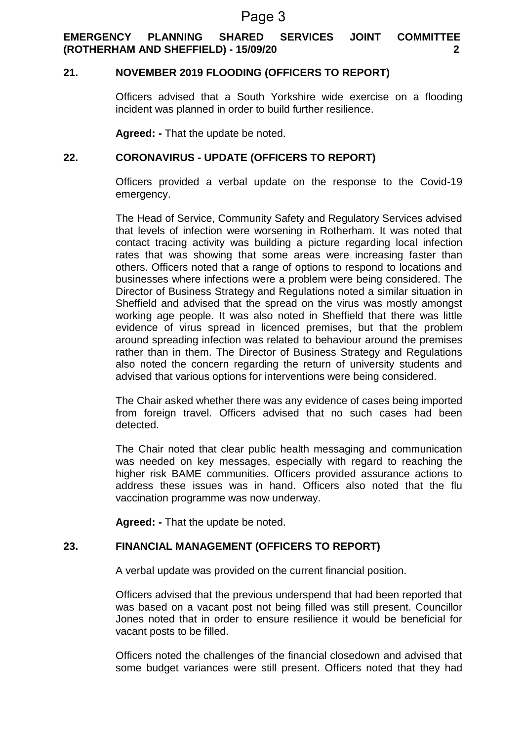# **EMERGENCY PLANNING SHARED SERVICES JOINT COMMITTEE (ROTHERHAM AND SHEFFIELD) - 15/09/20 2**

## **21. NOVEMBER 2019 FLOODING (OFFICERS TO REPORT)**

Officers advised that a South Yorkshire wide exercise on a flooding incident was planned in order to build further resilience.

**Agreed: -** That the update be noted.

## **22. CORONAVIRUS - UPDATE (OFFICERS TO REPORT)**

Officers provided a verbal update on the response to the Covid-19 emergency.

The Head of Service, Community Safety and Regulatory Services advised that levels of infection were worsening in Rotherham. It was noted that contact tracing activity was building a picture regarding local infection rates that was showing that some areas were increasing faster than others. Officers noted that a range of options to respond to locations and businesses where infections were a problem were being considered. The Director of Business Strategy and Regulations noted a similar situation in Sheffield and advised that the spread on the virus was mostly amongst working age people. It was also noted in Sheffield that there was little evidence of virus spread in licenced premises, but that the problem around spreading infection was related to behaviour around the premises rather than in them. The Director of Business Strategy and Regulations also noted the concern regarding the return of university students and advised that various options for interventions were being considered.

The Chair asked whether there was any evidence of cases being imported from foreign travel. Officers advised that no such cases had been detected.

The Chair noted that clear public health messaging and communication was needed on key messages, especially with regard to reaching the higher risk BAME communities. Officers provided assurance actions to address these issues was in hand. Officers also noted that the flu vaccination programme was now underway.

**Agreed: -** That the update be noted.

#### **23. FINANCIAL MANAGEMENT (OFFICERS TO REPORT)**

A verbal update was provided on the current financial position.

Officers advised that the previous underspend that had been reported that was based on a vacant post not being filled was still present. Councillor Jones noted that in order to ensure resilience it would be beneficial for vacant posts to be filled.

Officers noted the challenges of the financial closedown and advised that some budget variances were still present. Officers noted that they had